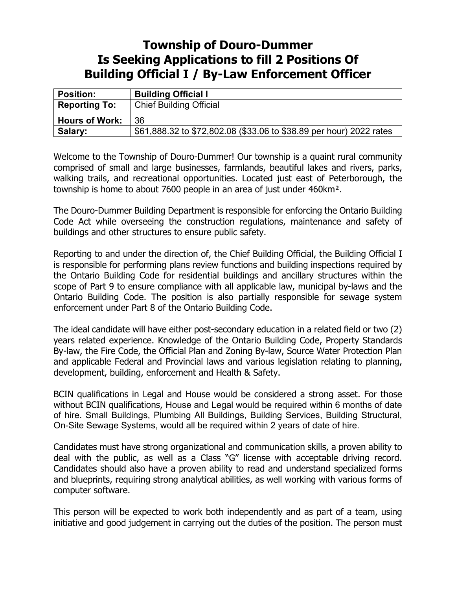## **Township of Douro-Dummer Is Seeking Applications to fill 2 Positions Of Building Official I / By-Law Enforcement Officer**

| <b>Position:</b>      | <b>Building Official I</b>                                          |
|-----------------------|---------------------------------------------------------------------|
| <b>Reporting To:</b>  | <b>Chief Building Official</b>                                      |
| <b>Hours of Work:</b> | 36                                                                  |
| Salary:               | \$61,888.32 to \$72,802.08 (\$33.06 to \$38.89 per hour) 2022 rates |

Welcome to the Township of Douro-Dummer! Our township is a quaint rural community comprised of small and large businesses, farmlands, beautiful lakes and rivers, parks, walking trails, and recreational opportunities. Located just east of Peterborough, the township is home to about 7600 people in an area of just under 460km².

The Douro-Dummer Building Department is responsible for enforcing the Ontario Building Code Act while overseeing the construction regulations, maintenance and safety of buildings and other structures to ensure public safety.

Reporting to and under the direction of, the Chief Building Official, the Building Official I is responsible for performing plans review functions and building inspections required by the Ontario Building Code for residential buildings and ancillary structures within the scope of Part 9 to ensure compliance with all applicable law, municipal by-laws and the Ontario Building Code. The position is also partially responsible for sewage system enforcement under Part 8 of the Ontario Building Code.

The ideal candidate will have either post-secondary education in a related field or two (2) years related experience. Knowledge of the Ontario Building Code, Property Standards By-law, the Fire Code, the Official Plan and Zoning By-law, Source Water Protection Plan and applicable Federal and Provincial laws and various legislation relating to planning, development, building, enforcement and Health & Safety.

BCIN qualifications in Legal and House would be considered a strong asset. For those without BCIN qualifications, House and Legal would be required within 6 months of date of hire. Small Buildings, Plumbing All Buildings, Building Services, Building Structural, On-Site Sewage Systems, would all be required within 2 years of date of hire.

Candidates must have strong organizational and communication skills, a proven ability to deal with the public, as well as a Class "G" license with acceptable driving record. Candidates should also have a proven ability to read and understand specialized forms and blueprints, requiring strong analytical abilities, as well working with various forms of computer software.

This person will be expected to work both independently and as part of a team, using initiative and good judgement in carrying out the duties of the position. The person must